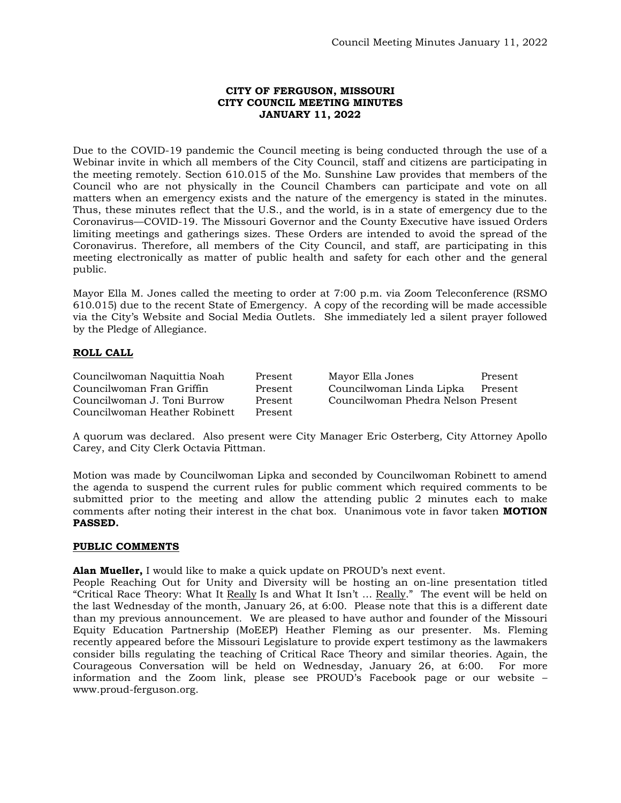## **CITY OF FERGUSON, MISSOURI CITY COUNCIL MEETING MINUTES JANUARY 11, 2022**

Due to the COVID-19 pandemic the Council meeting is being conducted through the use of a Webinar invite in which all members of the City Council, staff and citizens are participating in the meeting remotely. Section 610.015 of the Mo. Sunshine Law provides that members of the Council who are not physically in the Council Chambers can participate and vote on all matters when an emergency exists and the nature of the emergency is stated in the minutes. Thus, these minutes reflect that the U.S., and the world, is in a state of emergency due to the Coronavirus—COVID-19. The Missouri Governor and the County Executive have issued Orders limiting meetings and gatherings sizes. These Orders are intended to avoid the spread of the Coronavirus. Therefore, all members of the City Council, and staff, are participating in this meeting electronically as matter of public health and safety for each other and the general public.

Mayor Ella M. Jones called the meeting to order at 7:00 p.m. via Zoom Teleconference (RSMO 610.015) due to the recent State of Emergency. A copy of the recording will be made accessible via the City's Website and Social Media Outlets. She immediately led a silent prayer followed by the Pledge of Allegiance.

# **ROLL CALL**

| Councilwoman Naquittia Noah   | Present | Mayor Ella Jones                   | Present |
|-------------------------------|---------|------------------------------------|---------|
| Councilwoman Fran Griffin     | Present | Councilwoman Linda Lipka           | Present |
| Councilwoman J. Toni Burrow   | Present | Councilwoman Phedra Nelson Present |         |
| Councilwoman Heather Robinett | Present |                                    |         |

A quorum was declared. Also present were City Manager Eric Osterberg, City Attorney Apollo Carey, and City Clerk Octavia Pittman.

Motion was made by Councilwoman Lipka and seconded by Councilwoman Robinett to amend the agenda to suspend the current rules for public comment which required comments to be submitted prior to the meeting and allow the attending public 2 minutes each to make comments after noting their interest in the chat box. Unanimous vote in favor taken **MOTION PASSED.** 

## **PUBLIC COMMENTS**

**Alan Mueller,** I would like to make a quick update on PROUD's next event.

People Reaching Out for Unity and Diversity will be hosting an on-line presentation titled "Critical Race Theory: What It Really Is and What It Isn't ... Really." The event will be held on the last Wednesday of the month, January 26, at 6:00. Please note that this is a different date than my previous announcement. We are pleased to have author and founder of the Missouri Equity Education Partnership (MoEEP) Heather Fleming as our presenter. Ms. Fleming recently appeared before the Missouri Legislature to provide expert testimony as the lawmakers consider bills regulating the teaching of Critical Race Theory and similar theories. Again, the Courageous Conversation will be held on Wednesday, January 26, at 6:00. For more information and the Zoom link, please see PROUD's Facebook page or our website – www.proud-ferguson.org.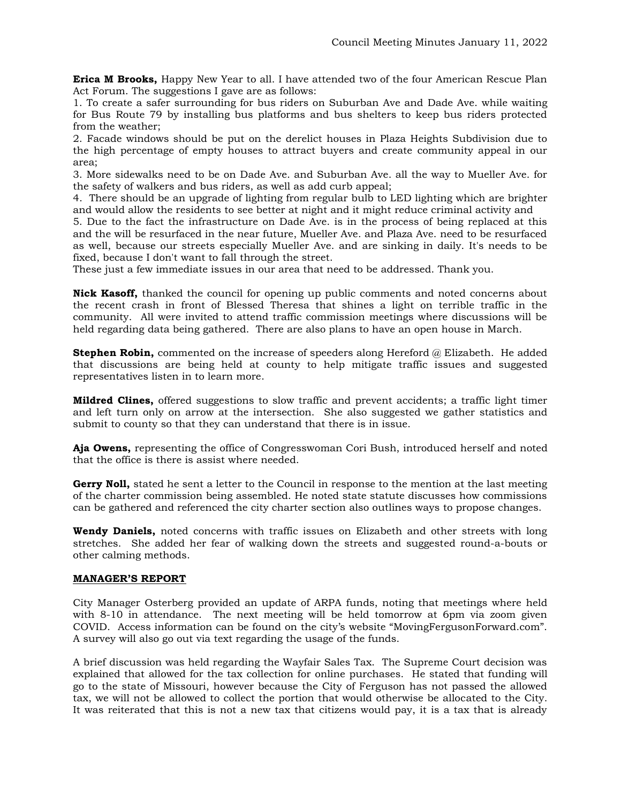**Erica M Brooks,** Happy New Year to all. I have attended two of the four American Rescue Plan Act Forum. The suggestions I gave are as follows:

1. To create a safer surrounding for bus riders on Suburban Ave and Dade Ave. while waiting for Bus Route 79 by installing bus platforms and bus shelters to keep bus riders protected from the weather;

2. Facade windows should be put on the derelict houses in Plaza Heights Subdivision due to the high percentage of empty houses to attract buyers and create community appeal in our area;

3. More sidewalks need to be on Dade Ave. and Suburban Ave. all the way to Mueller Ave. for the safety of walkers and bus riders, as well as add curb appeal;

4. There should be an upgrade of lighting from regular bulb to LED lighting which are brighter and would allow the residents to see better at night and it might reduce criminal activity and

5. Due to the fact the infrastructure on Dade Ave. is in the process of being replaced at this and the will be resurfaced in the near future, Mueller Ave. and Plaza Ave. need to be resurfaced as well, because our streets especially Mueller Ave. and are sinking in daily. It's needs to be fixed, because I don't want to fall through the street.

These just a few immediate issues in our area that need to be addressed. Thank you.

**Nick Kasoff,** thanked the council for opening up public comments and noted concerns about the recent crash in front of Blessed Theresa that shines a light on terrible traffic in the community. All were invited to attend traffic commission meetings where discussions will be held regarding data being gathered. There are also plans to have an open house in March.

**Stephen Robin,** commented on the increase of speeders along Hereford @ Elizabeth. He added that discussions are being held at county to help mitigate traffic issues and suggested representatives listen in to learn more.

**Mildred Clines,** offered suggestions to slow traffic and prevent accidents; a traffic light timer and left turn only on arrow at the intersection. She also suggested we gather statistics and submit to county so that they can understand that there is in issue.

**Aja Owens,** representing the office of Congresswoman Cori Bush, introduced herself and noted that the office is there is assist where needed.

**Gerry Noll,** stated he sent a letter to the Council in response to the mention at the last meeting of the charter commission being assembled. He noted state statute discusses how commissions can be gathered and referenced the city charter section also outlines ways to propose changes.

**Wendy Daniels,** noted concerns with traffic issues on Elizabeth and other streets with long stretches. She added her fear of walking down the streets and suggested round-a-bouts or other calming methods.

## **MANAGER'S REPORT**

City Manager Osterberg provided an update of ARPA funds, noting that meetings where held with 8-10 in attendance. The next meeting will be held tomorrow at 6pm via zoom given COVID. Access information can be found on the city's website "MovingFergusonForward.com". A survey will also go out via text regarding the usage of the funds.

A brief discussion was held regarding the Wayfair Sales Tax. The Supreme Court decision was explained that allowed for the tax collection for online purchases. He stated that funding will go to the state of Missouri, however because the City of Ferguson has not passed the allowed tax, we will not be allowed to collect the portion that would otherwise be allocated to the City. It was reiterated that this is not a new tax that citizens would pay, it is a tax that is already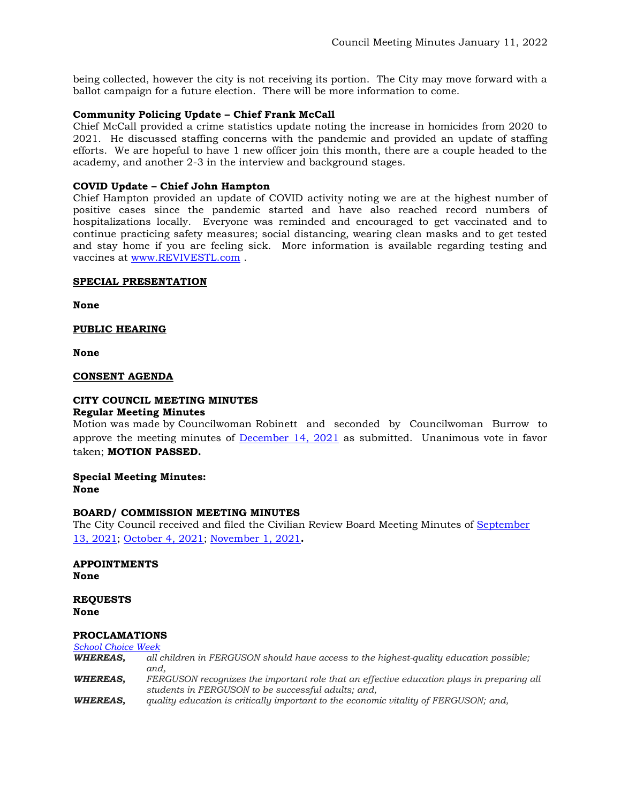being collected, however the city is not receiving its portion. The City may move forward with a ballot campaign for a future election. There will be more information to come.

# **Community Policing Update – Chief Frank McCall**

Chief McCall provided a crime statistics update noting the increase in homicides from 2020 to 2021. He discussed staffing concerns with the pandemic and provided an update of staffing efforts. We are hopeful to have 1 new officer join this month, there are a couple headed to the academy, and another 2-3 in the interview and background stages.

# **COVID Update – Chief John Hampton**

Chief Hampton provided an update of COVID activity noting we are at the highest number of positive cases since the pandemic started and have also reached record numbers of hospitalizations locally. Everyone was reminded and encouraged to get vaccinated and to continue practicing safety measures; social distancing, wearing clean masks and to get tested and stay home if you are feeling sick. More information is available regarding testing and vaccines at [www.REVIVESTL.com](http://www.revivestl.com/) .

## **SPECIAL PRESENTATION**

**None** 

# **PUBLIC HEARING**

**None**

## **CONSENT AGENDA**

## **CITY COUNCIL MEETING MINUTES Regular Meeting Minutes**

Motion was made by Councilwoman Robinett and seconded by Councilwoman Burrow to approve the meeting minutes of [December 14, 2021](https://www.fergusoncity.com/DocumentCenter/View/5483/Council-Meeting-Minutes-121421) as submitted. Unanimous vote in favor taken; **MOTION PASSED.** 

#### **Special Meeting Minutes: None**

## **BOARD/ COMMISSION MEETING MINUTES**

The City Council received and filed the Civilian Review Board Meeting Minutes of [September](https://www.fergusoncity.com/DocumentCenter/View/5484/FCRB-Open-Meeting-Minutes-09132021)  [13, 2021;](https://www.fergusoncity.com/DocumentCenter/View/5484/FCRB-Open-Meeting-Minutes-09132021) [October 4, 2021;](https://www.fergusoncity.com/DocumentCenter/View/5485/FCRB-Open-Meeting-Minutes-10042021) [November 1, 2021](https://www.fergusoncity.com/DocumentCenter/View/5486/FCRB-Open-Meeting-Minutes-11012021)**.** 

#### **APPOINTMENTS None**

## **REQUESTS None**

## **PROCLAMATIONS**

#### *[School Choice Week](https://www.fergusoncity.com/DocumentCenter/View/5487/PROC---2021-School-Choice-Week)*

*WHEREAS, all children in FERGUSON should have access to the highest-quality education possible; and, WHEREAS, FERGUSON recognizes the important role that an effective education plays in preparing all students in FERGUSON to be successful adults; and, WHEREAS, quality education is critically important to the economic vitality of FERGUSON; and,*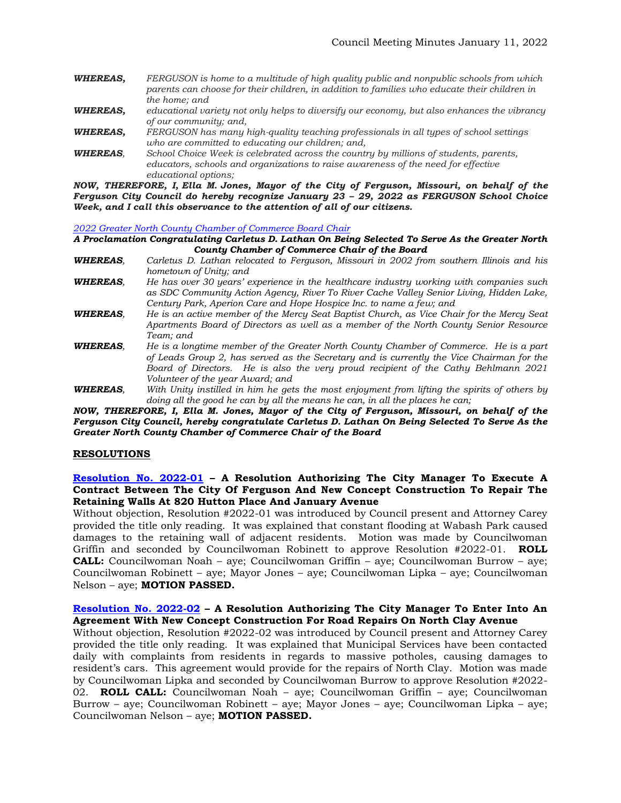- *WHEREAS, FERGUSON is home to a multitude of high quality public and nonpublic schools from which parents can choose for their children, in addition to families who educate their children in the home; and*
- *WHEREAS, educational variety not only helps to diversify our economy, but also enhances the vibrancy of our community; and,*
- *WHEREAS, FERGUSON has many high-quality teaching professionals in all types of school settings who are committed to educating our children; and,*
- *WHEREAS, School Choice Week is celebrated across the country by millions of students, parents, educators, schools and organizations to raise awareness of the need for effective educational options;*

*NOW, THEREFORE, I, Ella M. Jones, Mayor of the City of Ferguson, Missouri, on behalf of the Ferguson City Council do hereby recognize January 23 – 29, 2022 as FERGUSON School Choice Week, and I call this observance to the attention of all of our citizens.*

*[2022 Greater North County Chamber of Commerce Board Chair](https://www.fergusoncity.com/DocumentCenter/View/5488/PROC---2022-no-co-chamber-board-chair---lathan)*

#### *A Proclamation Congratulating Carletus D. Lathan On Being Selected To Serve As the Greater North County Chamber of Commerce Chair of the Board*

- *WHEREAS, Carletus D. Lathan relocated to Ferguson, Missouri in 2002 from southern Illinois and his hometown of Unity; and*
- *WHEREAS, He has over 30 years' experience in the healthcare industry working with companies such as SDC Community Action Agency, River To River Cache Valley Senior Living, Hidden Lake, Century Park, Aperion Care and Hope Hospice Inc. to name a few; and*
- *WHEREAS, He is an active member of the Mercy Seat Baptist Church, as Vice Chair for the Mercy Seat Apartments Board of Directors as well as a member of the North County Senior Resource Team; and*
- *WHEREAS, He is a longtime member of the Greater North County Chamber of Commerce. He is a part of Leads Group 2, has served as the Secretary and is currently the Vice Chairman for the Board of Directors. He is also the very proud recipient of the Cathy Behlmann 2021 Volunteer of the year Award; and*
- *WHEREAS, With Unity instilled in him he gets the most enjoyment from lifting the spirits of others by doing all the good he can by all the means he can, in all the places he can;*

*NOW, THEREFORE, I, Ella M. Jones, Mayor of the City of Ferguson, Missouri, on behalf of the Ferguson City Council, hereby congratulate Carletus D. Lathan On Being Selected To Serve As the Greater North County Chamber of Commerce Chair of the Board*

## **RESOLUTIONS**

#### **[Resolution No. 2022-01](https://www.fergusoncity.com/DocumentCenter/View/5498/Resolution-No-2022-01-New-Concept-retaining-walls) – A Resolution Authorizing The City Manager To Execute A Contract Between The City Of Ferguson And New Concept Construction To Repair The Retaining Walls At 820 Hutton Place And January Avenue**

Without objection, Resolution #2022-01 was introduced by Council present and Attorney Carey provided the title only reading. It was explained that constant flooding at Wabash Park caused damages to the retaining wall of adjacent residents. Motion was made by Councilwoman Griffin and seconded by Councilwoman Robinett to approve Resolution #2022-01. **ROLL CALL:** Councilwoman Noah – aye; Councilwoman Griffin – aye; Councilwoman Burrow – aye; Councilwoman Robinett – aye; Mayor Jones – aye; Councilwoman Lipka – aye; Councilwoman Nelson – aye; **MOTION PASSED.**

## **[Resolution No. 2022-02](https://www.fergusoncity.com/DocumentCenter/View/5499/Resolution-No-2022-02-New-Concept-repair-n-clay) – A Resolution Authorizing The City Manager To Enter Into An Agreement With New Concept Construction For Road Repairs On North Clay Avenue**

Without objection, Resolution #2022-02 was introduced by Council present and Attorney Carey provided the title only reading. It was explained that Municipal Services have been contacted daily with complaints from residents in regards to massive potholes, causing damages to resident's cars. This agreement would provide for the repairs of North Clay. Motion was made by Councilwoman Lipka and seconded by Councilwoman Burrow to approve Resolution #2022- 02. **ROLL CALL:** Councilwoman Noah – aye; Councilwoman Griffin – aye; Councilwoman Burrow – aye; Councilwoman Robinett – aye; Mayor Jones – aye; Councilwoman Lipka – aye; Councilwoman Nelson – aye; **MOTION PASSED.**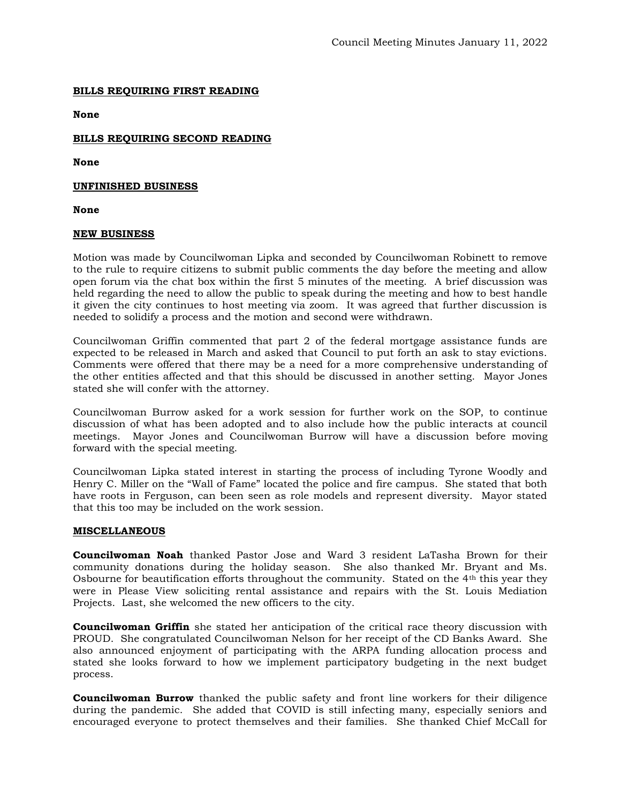#### **BILLS REQUIRING FIRST READING**

**None** 

# **BILLS REQUIRING SECOND READING**

**None**

#### **UNFINISHED BUSINESS**

**None**

#### **NEW BUSINESS**

Motion was made by Councilwoman Lipka and seconded by Councilwoman Robinett to remove to the rule to require citizens to submit public comments the day before the meeting and allow open forum via the chat box within the first 5 minutes of the meeting. A brief discussion was held regarding the need to allow the public to speak during the meeting and how to best handle it given the city continues to host meeting via zoom. It was agreed that further discussion is needed to solidify a process and the motion and second were withdrawn.

Councilwoman Griffin commented that part 2 of the federal mortgage assistance funds are expected to be released in March and asked that Council to put forth an ask to stay evictions. Comments were offered that there may be a need for a more comprehensive understanding of the other entities affected and that this should be discussed in another setting. Mayor Jones stated she will confer with the attorney.

Councilwoman Burrow asked for a work session for further work on the SOP, to continue discussion of what has been adopted and to also include how the public interacts at council meetings. Mayor Jones and Councilwoman Burrow will have a discussion before moving forward with the special meeting.

Councilwoman Lipka stated interest in starting the process of including Tyrone Woodly and Henry C. Miller on the "Wall of Fame" located the police and fire campus. She stated that both have roots in Ferguson, can been seen as role models and represent diversity. Mayor stated that this too may be included on the work session.

#### **MISCELLANEOUS**

**Councilwoman Noah** thanked Pastor Jose and Ward 3 resident LaTasha Brown for their community donations during the holiday season. She also thanked Mr. Bryant and Ms. Osbourne for beautification efforts throughout the community. Stated on the  $4<sup>th</sup>$  this year they were in Please View soliciting rental assistance and repairs with the St. Louis Mediation Projects. Last, she welcomed the new officers to the city.

**Councilwoman Griffin** she stated her anticipation of the critical race theory discussion with PROUD. She congratulated Councilwoman Nelson for her receipt of the CD Banks Award. She also announced enjoyment of participating with the ARPA funding allocation process and stated she looks forward to how we implement participatory budgeting in the next budget process.

**Councilwoman Burrow** thanked the public safety and front line workers for their diligence during the pandemic. She added that COVID is still infecting many, especially seniors and encouraged everyone to protect themselves and their families. She thanked Chief McCall for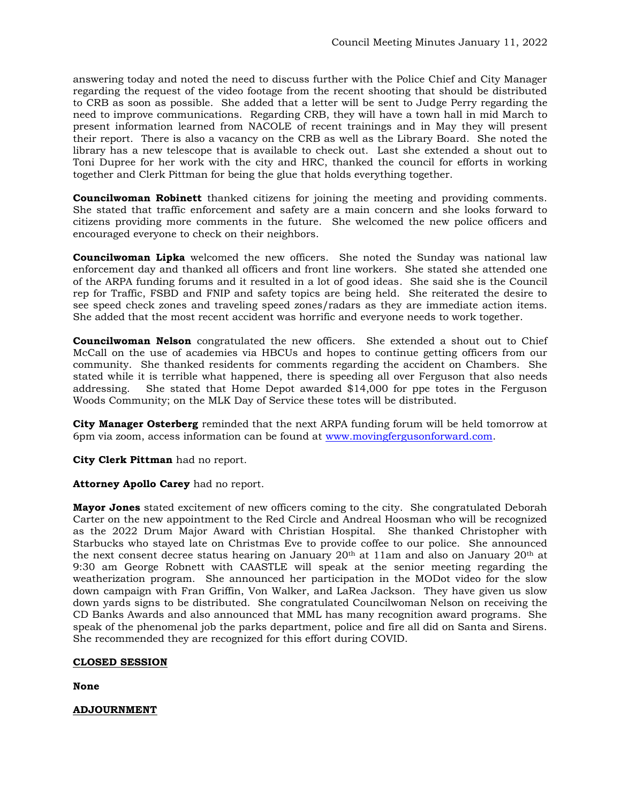answering today and noted the need to discuss further with the Police Chief and City Manager regarding the request of the video footage from the recent shooting that should be distributed to CRB as soon as possible. She added that a letter will be sent to Judge Perry regarding the need to improve communications. Regarding CRB, they will have a town hall in mid March to present information learned from NACOLE of recent trainings and in May they will present their report. There is also a vacancy on the CRB as well as the Library Board. She noted the library has a new telescope that is available to check out. Last she extended a shout out to Toni Dupree for her work with the city and HRC, thanked the council for efforts in working together and Clerk Pittman for being the glue that holds everything together.

**Councilwoman Robinett** thanked citizens for joining the meeting and providing comments. She stated that traffic enforcement and safety are a main concern and she looks forward to citizens providing more comments in the future. She welcomed the new police officers and encouraged everyone to check on their neighbors.

**Councilwoman Lipka** welcomed the new officers. She noted the Sunday was national law enforcement day and thanked all officers and front line workers. She stated she attended one of the ARPA funding forums and it resulted in a lot of good ideas. She said she is the Council rep for Traffic, FSBD and FNIP and safety topics are being held. She reiterated the desire to see speed check zones and traveling speed zones/radars as they are immediate action items. She added that the most recent accident was horrific and everyone needs to work together.

**Councilwoman Nelson** congratulated the new officers. She extended a shout out to Chief McCall on the use of academies via HBCUs and hopes to continue getting officers from our community. She thanked residents for comments regarding the accident on Chambers. She stated while it is terrible what happened, there is speeding all over Ferguson that also needs addressing. She stated that Home Depot awarded \$14,000 for ppe totes in the Ferguson Woods Community; on the MLK Day of Service these totes will be distributed.

**City Manager Osterberg** reminded that the next ARPA funding forum will be held tomorrow at 6pm via zoom, access information can be found at [www.movingfergusonforward.com.](http://www.movingfergusonforward.com/)

**City Clerk Pittman** had no report.

**Attorney Apollo Carey** had no report.

**Mayor Jones** stated excitement of new officers coming to the city. She congratulated Deborah Carter on the new appointment to the Red Circle and Andreal Hoosman who will be recognized as the 2022 Drum Major Award with Christian Hospital. She thanked Christopher with Starbucks who stayed late on Christmas Eve to provide coffee to our police. She announced the next consent decree status hearing on January 20th at 11am and also on January 20th at 9:30 am George Robnett with CAASTLE will speak at the senior meeting regarding the weatherization program. She announced her participation in the MODot video for the slow down campaign with Fran Griffin, Von Walker, and LaRea Jackson. They have given us slow down yards signs to be distributed. She congratulated Councilwoman Nelson on receiving the CD Banks Awards and also announced that MML has many recognition award programs. She speak of the phenomenal job the parks department, police and fire all did on Santa and Sirens. She recommended they are recognized for this effort during COVID.

## **CLOSED SESSION**

**None**

**ADJOURNMENT**